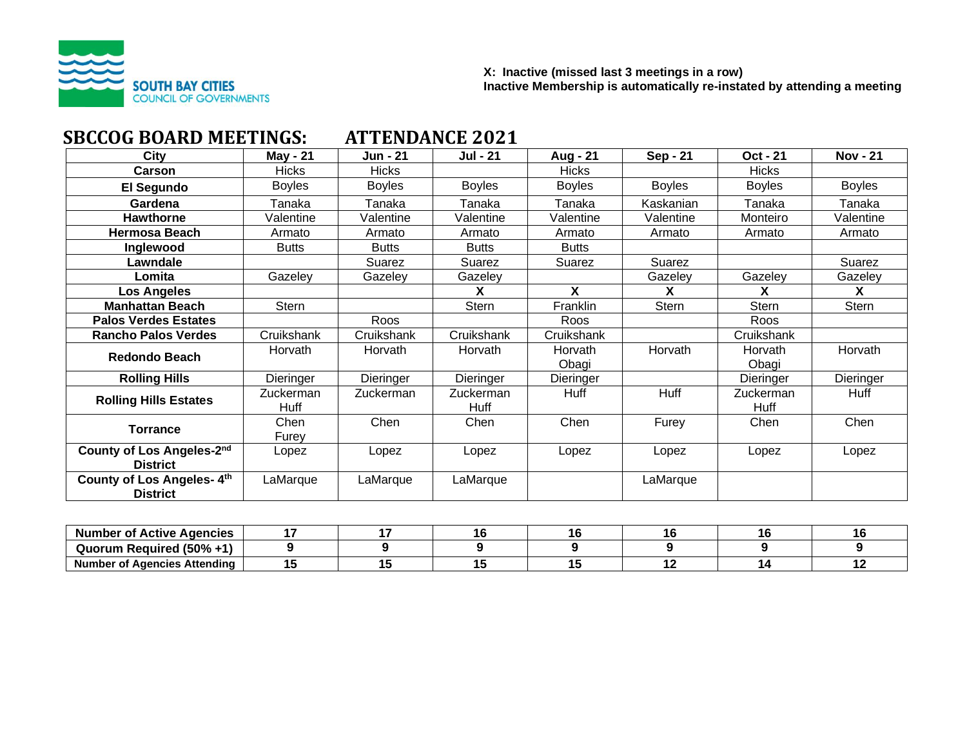

#### **X: Inactive (missed last 3 meetings in a row) Inactive Membership is automatically re-instated by attending a meeting**

| SBCCOG BOARD MEETINGS:                       |                   | ATTENDANCE 2021 |                   |                  |                 |                   |                 |  |  |
|----------------------------------------------|-------------------|-----------------|-------------------|------------------|-----------------|-------------------|-----------------|--|--|
| City                                         | May - 21          | Jun - 21        | <b>Jul - 21</b>   | Aug - 21         | <b>Sep - 21</b> | Oct - 21          | <b>Nov - 21</b> |  |  |
| Carson                                       | Hicks             | <b>Hicks</b>    |                   | <b>Hicks</b>     |                 | <b>Hicks</b>      |                 |  |  |
| El Segundo                                   | <b>Boyles</b>     | <b>Boyles</b>   | <b>Boyles</b>     | <b>Boyles</b>    | <b>Boyles</b>   | <b>Boyles</b>     | <b>Boyles</b>   |  |  |
| Gardena                                      | Tanaka            | Tanaka          | Tanaka            | Tanaka           | Kaskanian       | Tanaka            | Tanaka          |  |  |
| <b>Hawthorne</b>                             | Valentine         | Valentine       | Valentine         | Valentine        | Valentine       | Monteiro          | Valentine       |  |  |
| Hermosa Beach                                | Armato            | Armato          | Armato            | Armato           | Armato          | Armato            | Armato          |  |  |
| Inglewood                                    | <b>Butts</b>      | <b>Butts</b>    | <b>Butts</b>      | <b>Butts</b>     |                 |                   |                 |  |  |
| Lawndale                                     |                   | Suarez          | Suarez            | Suarez           | Suarez          |                   | Suarez          |  |  |
| Lomita                                       | Gazeley           | Gazeley         | Gazeley           |                  | Gazeley         | Gazeley           | Gazeley         |  |  |
| <b>Los Angeles</b>                           |                   |                 | x                 | X                | X               | X                 | X               |  |  |
| <b>Manhattan Beach</b>                       | Stern             |                 | <b>Stern</b>      | Franklin         | <b>Stern</b>    | <b>Stern</b>      | <b>Stern</b>    |  |  |
| <b>Palos Verdes Estates</b>                  |                   | Roos            |                   | Roos             |                 | Roos              |                 |  |  |
| <b>Rancho Palos Verdes</b>                   | Cruikshank        | Cruikshank      | Cruikshank        | Cruikshank       |                 | Cruikshank        |                 |  |  |
| <b>Redondo Beach</b>                         | Horvath           | Horvath         | Horvath           | Horvath<br>Obagi | Horvath         | Horvath<br>Obagi  | Horvath         |  |  |
| <b>Rolling Hills</b>                         | Dieringer         | Dieringer       | Dieringer         | Dieringer        |                 | Dieringer         | Dieringer       |  |  |
| <b>Rolling Hills Estates</b>                 | Zuckerman<br>Huff | Zuckerman       | Zuckerman<br>Huff | Huff             | Huff            | Zuckerman<br>Huff | Huff            |  |  |
| <b>Torrance</b>                              | Chen<br>Furey     | Chen            | Chen              | Chen             | Furey           | Chen              | Chen            |  |  |
| County of Los Angeles-2nd<br><b>District</b> | Lopez             | Lopez           | Lopez             | Lopez            | Lopez           | Lopez             | Lopez           |  |  |
| County of Los Angeles-4th<br><b>District</b> | LaMarque          | LaMarque        | LaMarque          |                  | LaMarque        |                   |                 |  |  |

| <b>Number of Active Agencies</b>  |  |  |  |  |
|-----------------------------------|--|--|--|--|
| Quorum Required (50% +1)          |  |  |  |  |
| f Agencies Attending<br>Number ^* |  |  |  |  |

# **SBCCOG BOARD MEETINGS: ATTENDANCE 2021**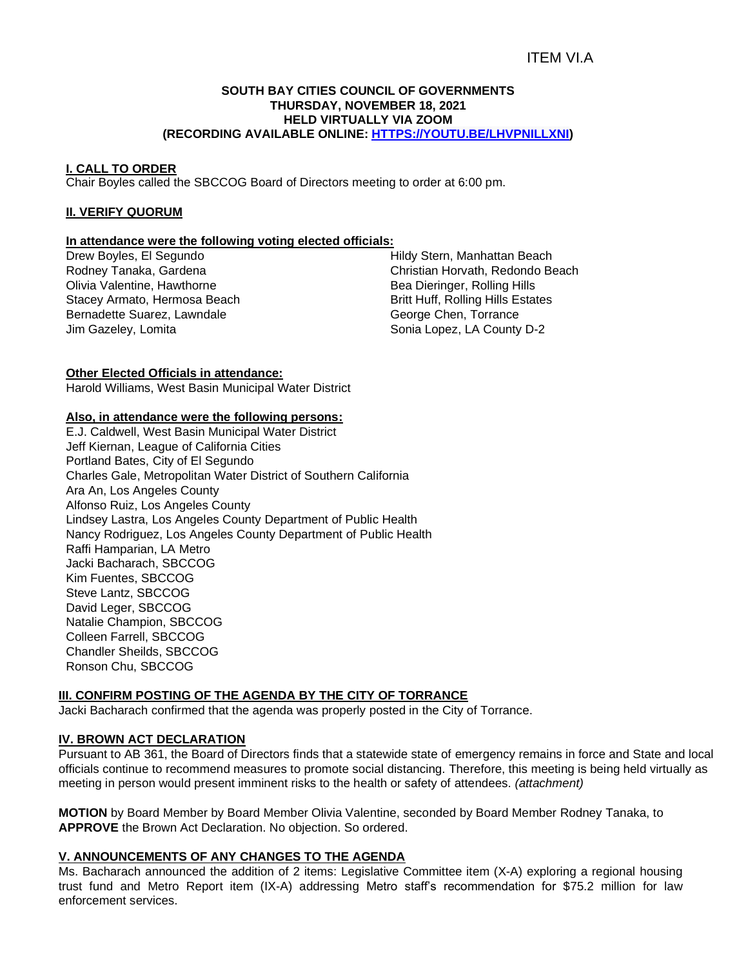## ITEM VI.A

#### **SOUTH BAY CITIES COUNCIL OF GOVERNMENTS THURSDAY, NOVEMBER 18, 2021 HELD VIRTUALLY VIA ZOOM (RECORDING AVAILABLE ONLINE: [HTTPS://YOUTU.BE/LHVPNILLXNI\)](https://youtu.be/LHvpNiLLXnI)**

#### **I. CALL TO ORDER**

Chair Boyles called the SBCCOG Board of Directors meeting to order at 6:00 pm.

#### **II. VERIFY QUORUM**

## **In attendance were the following voting elected officials:**

Drew Boyles, El Segundo Rodney Tanaka, Gardena Olivia Valentine, Hawthorne Stacey Armato, Hermosa Beach Bernadette Suarez, Lawndale Jim Gazeley, Lomita

Hildy Stern, Manhattan Beach Christian Horvath, Redondo Beach Bea Dieringer, Rolling Hills Britt Huff, Rolling Hills Estates George Chen, Torrance Sonia Lopez, LA County D-2

#### **Other Elected Officials in attendance:**

Harold Williams, West Basin Municipal Water District

#### **Also, in attendance were the following persons:**

E.J. Caldwell, West Basin Municipal Water District Jeff Kiernan, League of California Cities Portland Bates, City of El Segundo Charles Gale, Metropolitan Water District of Southern California Ara An, Los Angeles County Alfonso Ruiz, Los Angeles County Lindsey Lastra, Los Angeles County Department of Public Health Nancy Rodriguez, Los Angeles County Department of Public Health Raffi Hamparian, LA Metro Jacki Bacharach, SBCCOG Kim Fuentes, SBCCOG Steve Lantz, SBCCOG David Leger, SBCCOG Natalie Champion, SBCCOG Colleen Farrell, SBCCOG Chandler Sheilds, SBCCOG Ronson Chu, SBCCOG

## **III. CONFIRM POSTING OF THE AGENDA BY THE CITY OF TORRANCE**

Jacki Bacharach confirmed that the agenda was properly posted in the City of Torrance.

#### **IV. BROWN ACT DECLARATION**

Pursuant to AB 361, the Board of Directors finds that a statewide state of emergency remains in force and State and local officials continue to recommend measures to promote social distancing. Therefore, this meeting is being held virtually as meeting in person would present imminent risks to the health or safety of attendees. *(attachment)*

**MOTION** by Board Member by Board Member Olivia Valentine, seconded by Board Member Rodney Tanaka, to **APPROVE** the Brown Act Declaration. No objection. So ordered.

## **V. ANNOUNCEMENTS OF ANY CHANGES TO THE AGENDA**

Ms. Bacharach announced the addition of 2 items: Legislative Committee item (X-A) exploring a regional housing trust fund and Metro Report item (IX-A) addressing Metro staff's recommendation for \$75.2 million for law enforcement services.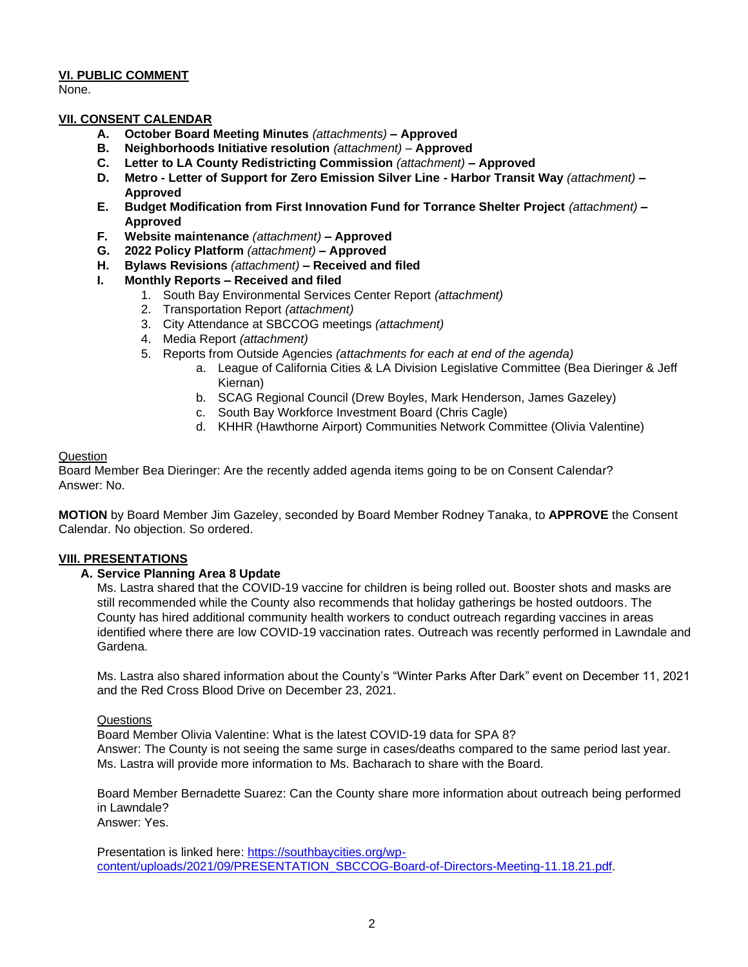## **VI. PUBLIC COMMENT**

None.

## **VII. CONSENT CALENDAR**

- **A. October Board Meeting Minutes** *(attachments) –* **Approved**
- **B. Neighborhoods Initiative resolution** *(attachment)* **Approved**
- **C. Letter to LA County Redistricting Commission** *(attachment)* **– Approved**
- **D. Metro - Letter of Support for Zero Emission Silver Line - Harbor Transit Way** *(attachment)* **– Approved**
- **E. Budget Modification from First Innovation Fund for Torrance Shelter Project** *(attachment)* **– Approved**
- **F. Website maintenance** *(attachment)* **– Approved**
- **G. 2022 Policy Platform** *(attachment)* **– Approved**
- **H. Bylaws Revisions** *(attachment)* **– Received and filed**

## **I. Monthly Reports – Received and filed**

- 1. South Bay Environmental Services Center Report *(attachment)*
- 2. Transportation Report *(attachment)*
- 3. City Attendance at SBCCOG meetings *(attachment)*
- 4. Media Report *(attachment)*
- 5. Reports from Outside Agencies *(attachments for each at end of the agenda)*
	- a. League of California Cities & LA Division Legislative Committee (Bea Dieringer & Jeff Kiernan)
	- b. SCAG Regional Council (Drew Boyles, Mark Henderson, James Gazeley)
	- c. South Bay Workforce Investment Board (Chris Cagle)
	- d. KHHR (Hawthorne Airport) Communities Network Committee (Olivia Valentine)

## Question

Board Member Bea Dieringer: Are the recently added agenda items going to be on Consent Calendar? Answer: No.

**MOTION** by Board Member Jim Gazeley, seconded by Board Member Rodney Tanaka, to **APPROVE** the Consent Calendar. No objection. So ordered.

## **VIII. PRESENTATIONS**

## **A. Service Planning Area 8 Update**

Ms. Lastra shared that the COVID-19 vaccine for children is being rolled out. Booster shots and masks are still recommended while the County also recommends that holiday gatherings be hosted outdoors. The County has hired additional community health workers to conduct outreach regarding vaccines in areas identified where there are low COVID-19 vaccination rates. Outreach was recently performed in Lawndale and Gardena.

Ms. Lastra also shared information about the County's "Winter Parks After Dark" event on December 11, 2021 and the Red Cross Blood Drive on December 23, 2021.

## Questions

Board Member Olivia Valentine: What is the latest COVID-19 data for SPA 8? Answer: The County is not seeing the same surge in cases/deaths compared to the same period last year. Ms. Lastra will provide more information to Ms. Bacharach to share with the Board.

Board Member Bernadette Suarez: Can the County share more information about outreach being performed in Lawndale? Answer: Yes.

Presentation is linked here: [https://southbaycities.org/wp](https://southbaycities.org/wp-content/uploads/2021/09/PRESENTATION_SBCCOG-Board-of-Directors-Meeting-11.18.21.pdf)[content/uploads/2021/09/PRESENTATION\\_SBCCOG-Board-of-Directors-Meeting-11.18.21.pdf.](https://southbaycities.org/wp-content/uploads/2021/09/PRESENTATION_SBCCOG-Board-of-Directors-Meeting-11.18.21.pdf)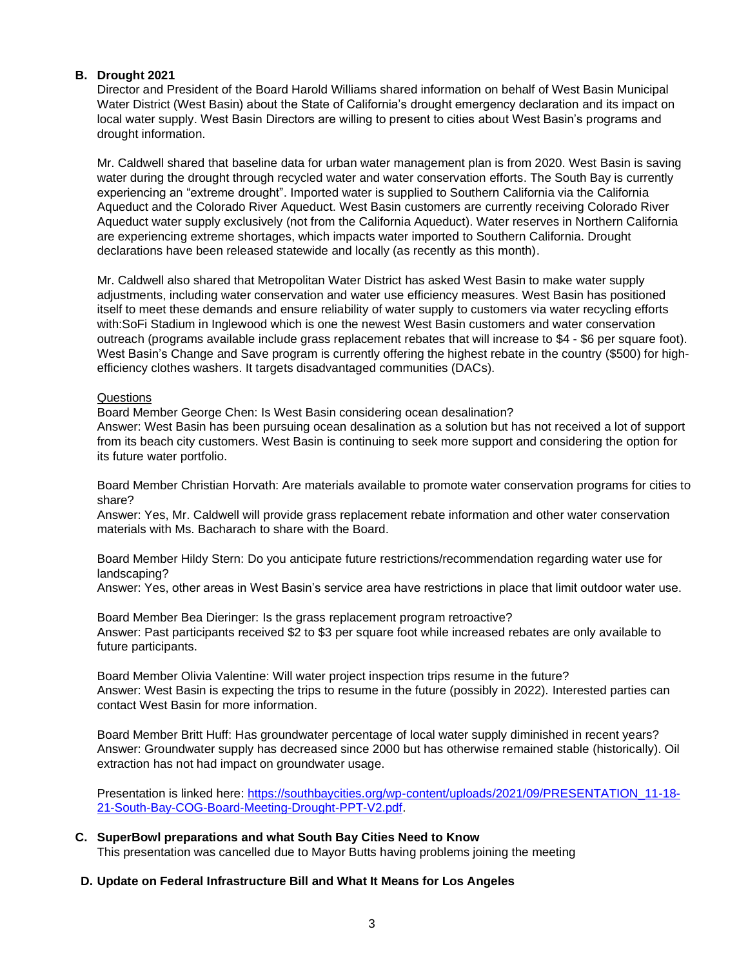## **B. Drought 2021**

Director and President of the Board Harold Williams shared information on behalf of West Basin Municipal Water District (West Basin) about the State of California's drought emergency declaration and its impact on local water supply. West Basin Directors are willing to present to cities about West Basin's programs and drought information.

Mr. Caldwell shared that baseline data for urban water management plan is from 2020. West Basin is saving water during the drought through recycled water and water conservation efforts. The South Bay is currently experiencing an "extreme drought". Imported water is supplied to Southern California via the California Aqueduct and the Colorado River Aqueduct. West Basin customers are currently receiving Colorado River Aqueduct water supply exclusively (not from the California Aqueduct). Water reserves in Northern California are experiencing extreme shortages, which impacts water imported to Southern California. Drought declarations have been released statewide and locally (as recently as this month).

Mr. Caldwell also shared that Metropolitan Water District has asked West Basin to make water supply adjustments, including water conservation and water use efficiency measures. West Basin has positioned itself to meet these demands and ensure reliability of water supply to customers via water recycling efforts with:SoFi Stadium in Inglewood which is one the newest West Basin customers and water conservation outreach (programs available include grass replacement rebates that will increase to \$4 - \$6 per square foot). West Basin's Change and Save program is currently offering the highest rebate in the country (\$500) for highefficiency clothes washers. It targets disadvantaged communities (DACs).

## Questions

Board Member George Chen: Is West Basin considering ocean desalination?

Answer: West Basin has been pursuing ocean desalination as a solution but has not received a lot of support from its beach city customers. West Basin is continuing to seek more support and considering the option for its future water portfolio.

Board Member Christian Horvath: Are materials available to promote water conservation programs for cities to share?

Answer: Yes, Mr. Caldwell will provide grass replacement rebate information and other water conservation materials with Ms. Bacharach to share with the Board.

Board Member Hildy Stern: Do you anticipate future restrictions/recommendation regarding water use for landscaping?

Answer: Yes, other areas in West Basin's service area have restrictions in place that limit outdoor water use.

Board Member Bea Dieringer: Is the grass replacement program retroactive? Answer: Past participants received \$2 to \$3 per square foot while increased rebates are only available to future participants.

Board Member Olivia Valentine: Will water project inspection trips resume in the future? Answer: West Basin is expecting the trips to resume in the future (possibly in 2022). Interested parties can contact West Basin for more information.

Board Member Britt Huff: Has groundwater percentage of local water supply diminished in recent years? Answer: Groundwater supply has decreased since 2000 but has otherwise remained stable (historically). Oil extraction has not had impact on groundwater usage.

Presentation is linked here: [https://southbaycities.org/wp-content/uploads/2021/09/PRESENTATION\\_11-18-](https://southbaycities.org/wp-content/uploads/2021/09/PRESENTATION_11-18-21-South-Bay-COG-Board-Meeting-Drought-PPT-V2.pdf) [21-South-Bay-COG-Board-Meeting-Drought-PPT-V2.pdf.](https://southbaycities.org/wp-content/uploads/2021/09/PRESENTATION_11-18-21-South-Bay-COG-Board-Meeting-Drought-PPT-V2.pdf)

**C. SuperBowl preparations and what South Bay Cities Need to Know** This presentation was cancelled due to Mayor Butts having problems joining the meeting

## **D. Update on Federal Infrastructure Bill and What It Means for Los Angeles**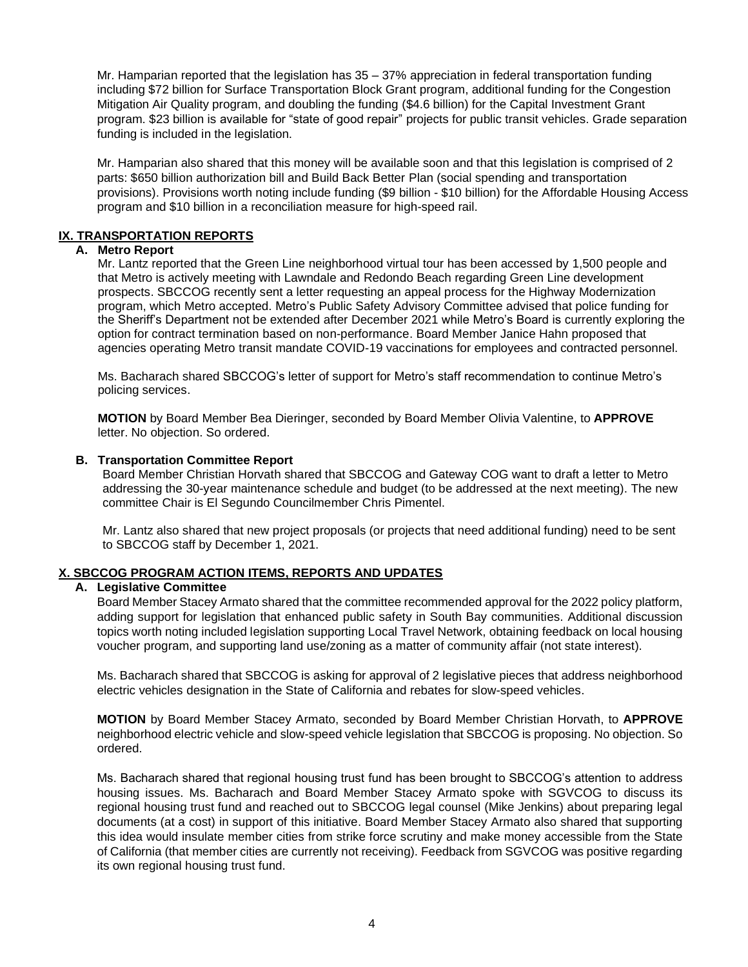Mr. Hamparian reported that the legislation has 35 – 37% appreciation in federal transportation funding including \$72 billion for Surface Transportation Block Grant program, additional funding for the Congestion Mitigation Air Quality program, and doubling the funding (\$4.6 billion) for the Capital Investment Grant program. \$23 billion is available for "state of good repair" projects for public transit vehicles. Grade separation funding is included in the legislation.

Mr. Hamparian also shared that this money will be available soon and that this legislation is comprised of 2 parts: \$650 billion authorization bill and Build Back Better Plan (social spending and transportation provisions). Provisions worth noting include funding (\$9 billion - \$10 billion) for the Affordable Housing Access program and \$10 billion in a reconciliation measure for high-speed rail.

## **IX. TRANSPORTATION REPORTS**

## **A. Metro Report**

Mr. Lantz reported that the Green Line neighborhood virtual tour has been accessed by 1,500 people and that Metro is actively meeting with Lawndale and Redondo Beach regarding Green Line development prospects. SBCCOG recently sent a letter requesting an appeal process for the Highway Modernization program, which Metro accepted. Metro's Public Safety Advisory Committee advised that police funding for the Sheriff's Department not be extended after December 2021 while Metro's Board is currently exploring the option for contract termination based on non-performance. Board Member Janice Hahn proposed that agencies operating Metro transit mandate COVID-19 vaccinations for employees and contracted personnel.

Ms. Bacharach shared SBCCOG's letter of support for Metro's staff recommendation to continue Metro's policing services.

**MOTION** by Board Member Bea Dieringer, seconded by Board Member Olivia Valentine, to **APPROVE** letter. No objection. So ordered.

## **B. Transportation Committee Report**

Board Member Christian Horvath shared that SBCCOG and Gateway COG want to draft a letter to Metro addressing the 30-year maintenance schedule and budget (to be addressed at the next meeting). The new committee Chair is El Segundo Councilmember Chris Pimentel.

Mr. Lantz also shared that new project proposals (or projects that need additional funding) need to be sent to SBCCOG staff by December 1, 2021.

## **X. SBCCOG PROGRAM ACTION ITEMS, REPORTS AND UPDATES**

## **A. Legislative Committee**

Board Member Stacey Armato shared that the committee recommended approval for the 2022 policy platform, adding support for legislation that enhanced public safety in South Bay communities. Additional discussion topics worth noting included legislation supporting Local Travel Network, obtaining feedback on local housing voucher program, and supporting land use/zoning as a matter of community affair (not state interest).

Ms. Bacharach shared that SBCCOG is asking for approval of 2 legislative pieces that address neighborhood electric vehicles designation in the State of California and rebates for slow-speed vehicles.

**MOTION** by Board Member Stacey Armato, seconded by Board Member Christian Horvath, to **APPROVE** neighborhood electric vehicle and slow-speed vehicle legislation that SBCCOG is proposing. No objection. So ordered.

Ms. Bacharach shared that regional housing trust fund has been brought to SBCCOG's attention to address housing issues. Ms. Bacharach and Board Member Stacey Armato spoke with SGVCOG to discuss its regional housing trust fund and reached out to SBCCOG legal counsel (Mike Jenkins) about preparing legal documents (at a cost) in support of this initiative. Board Member Stacey Armato also shared that supporting this idea would insulate member cities from strike force scrutiny and make money accessible from the State of California (that member cities are currently not receiving). Feedback from SGVCOG was positive regarding its own regional housing trust fund.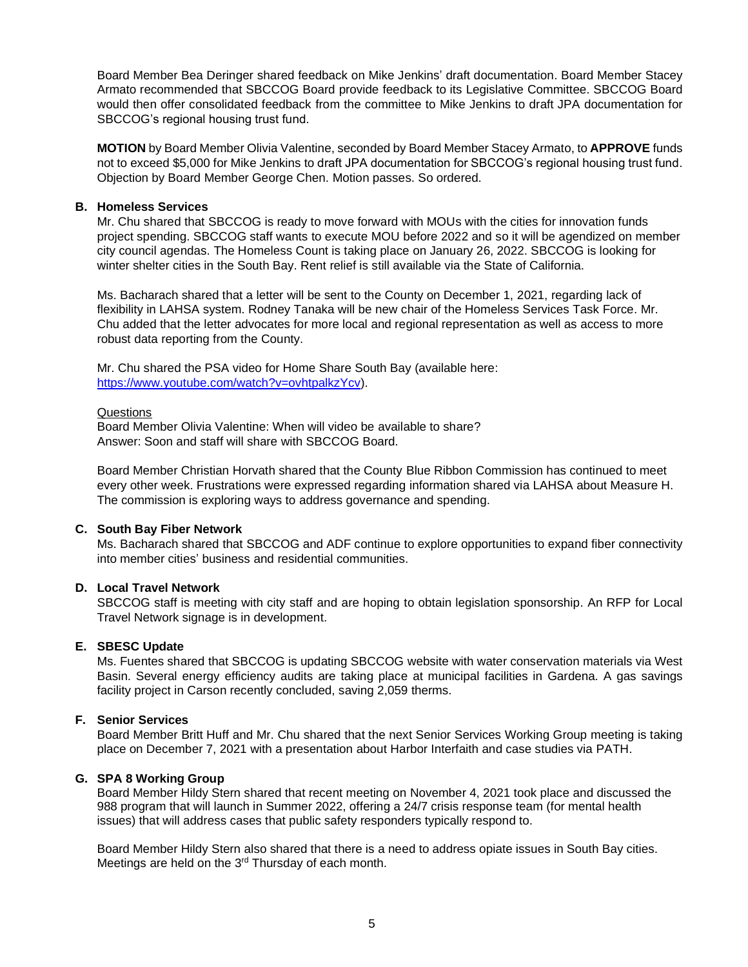Board Member Bea Deringer shared feedback on Mike Jenkins' draft documentation. Board Member Stacey Armato recommended that SBCCOG Board provide feedback to its Legislative Committee. SBCCOG Board would then offer consolidated feedback from the committee to Mike Jenkins to draft JPA documentation for SBCCOG's regional housing trust fund.

**MOTION** by Board Member Olivia Valentine, seconded by Board Member Stacey Armato, to **APPROVE** funds not to exceed \$5,000 for Mike Jenkins to draft JPA documentation for SBCCOG's regional housing trust fund. Objection by Board Member George Chen. Motion passes. So ordered.

## **B. Homeless Services**

Mr. Chu shared that SBCCOG is ready to move forward with MOUs with the cities for innovation funds project spending. SBCCOG staff wants to execute MOU before 2022 and so it will be agendized on member city council agendas. The Homeless Count is taking place on January 26, 2022. SBCCOG is looking for winter shelter cities in the South Bay. Rent relief is still available via the State of California.

Ms. Bacharach shared that a letter will be sent to the County on December 1, 2021, regarding lack of flexibility in LAHSA system. Rodney Tanaka will be new chair of the Homeless Services Task Force. Mr. Chu added that the letter advocates for more local and regional representation as well as access to more robust data reporting from the County.

Mr. Chu shared the PSA video for Home Share South Bay (available here: [https://www.youtube.com/watch?v=ovhtpalkzYcv\)](https://www.youtube.com/watch?v=ovhtpalkzYcv).

#### Questions

Board Member Olivia Valentine: When will video be available to share? Answer: Soon and staff will share with SBCCOG Board.

Board Member Christian Horvath shared that the County Blue Ribbon Commission has continued to meet every other week. Frustrations were expressed regarding information shared via LAHSA about Measure H. The commission is exploring ways to address governance and spending.

## **C. South Bay Fiber Network**

Ms. Bacharach shared that SBCCOG and ADF continue to explore opportunities to expand fiber connectivity into member cities' business and residential communities.

## **D. Local Travel Network**

SBCCOG staff is meeting with city staff and are hoping to obtain legislation sponsorship. An RFP for Local Travel Network signage is in development.

## **E. SBESC Update**

Ms. Fuentes shared that SBCCOG is updating SBCCOG website with water conservation materials via West Basin. Several energy efficiency audits are taking place at municipal facilities in Gardena. A gas savings facility project in Carson recently concluded, saving 2,059 therms.

## **F. Senior Services**

Board Member Britt Huff and Mr. Chu shared that the next Senior Services Working Group meeting is taking place on December 7, 2021 with a presentation about Harbor Interfaith and case studies via PATH.

## **G. SPA 8 Working Group**

Board Member Hildy Stern shared that recent meeting on November 4, 2021 took place and discussed the 988 program that will launch in Summer 2022, offering a 24/7 crisis response team (for mental health issues) that will address cases that public safety responders typically respond to.

Board Member Hildy Stern also shared that there is a need to address opiate issues in South Bay cities. Meetings are held on the 3<sup>rd</sup> Thursday of each month.